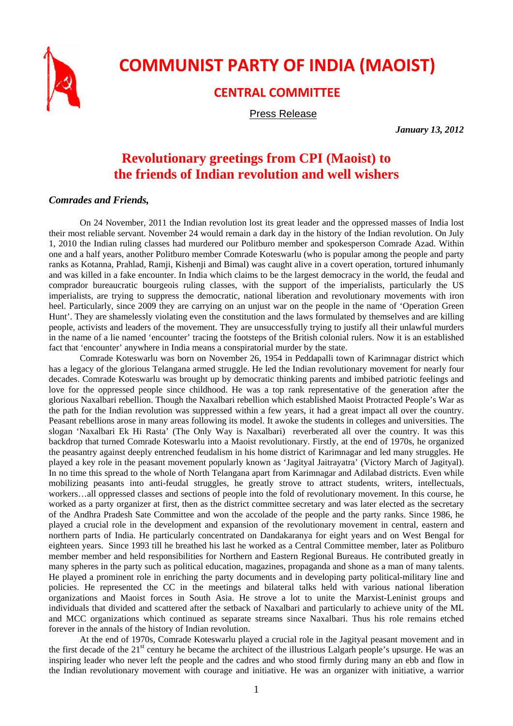

## **COMMUNIST PARTY OF INDIA (MAOIST)**

## **CENTRAL COMMITTEE**

Press Release

*January 13, 2012* 

## **Revolutionary greetings from CPI (Maoist) to the friends of Indian revolution and well wishers**

## *Comrades and Friends,*

On 24 November, 2011 the Indian revolution lost its great leader and the oppressed masses of India lost their most reliable servant. November 24 would remain a dark day in the history of the Indian revolution. On July 1, 2010 the Indian ruling classes had murdered our Politburo member and spokesperson Comrade Azad. Within one and a half years, another Politburo member Comrade Koteswarlu (who is popular among the people and party ranks as Kotanna, Prahlad, Ramji, Kishenji and Bimal) was caught alive in a covert operation, tortured inhumanly and was killed in a fake encounter. In India which claims to be the largest democracy in the world, the feudal and comprador bureaucratic bourgeois ruling classes, with the support of the imperialists, particularly the US imperialists, are trying to suppress the democratic, national liberation and revolutionary movements with iron heel. Particularly, since 2009 they are carrying on an unjust war on the people in the name of 'Operation Green Hunt'. They are shamelessly violating even the constitution and the laws formulated by themselves and are killing people, activists and leaders of the movement. They are unsuccessfully trying to justify all their unlawful murders in the name of a lie named 'encounter' tracing the footsteps of the British colonial rulers. Now it is an established fact that 'encounter' anywhere in India means a conspiratorial murder by the state.

Comrade Koteswarlu was born on November 26, 1954 in Peddapalli town of Karimnagar district which has a legacy of the glorious Telangana armed struggle. He led the Indian revolutionary movement for nearly four decades. Comrade Koteswarlu was brought up by democratic thinking parents and imbibed patriotic feelings and love for the oppressed people since childhood. He was a top rank representative of the generation after the glorious Naxalbari rebellion. Though the Naxalbari rebellion which established Maoist Protracted People's War as the path for the Indian revolution was suppressed within a few years, it had a great impact all over the country. Peasant rebellions arose in many areas following its model. It awoke the students in colleges and universities. The slogan 'Naxalbari Ek Hi Rasta' (The Only Way is Naxalbari) reverberated all over the country. It was this backdrop that turned Comrade Koteswarlu into a Maoist revolutionary. Firstly, at the end of 1970s, he organized the peasantry against deeply entrenched feudalism in his home district of Karimnagar and led many struggles. He played a key role in the peasant movement popularly known as 'Jagityal Jaitrayatra' (Victory March of Jagityal). In no time this spread to the whole of North Telangana apart from Karimnagar and Adilabad districts. Even while mobilizing peasants into anti-feudal struggles, he greatly strove to attract students, writers, intellectuals, workers…all oppressed classes and sections of people into the fold of revolutionary movement. In this course, he worked as a party organizer at first, then as the district committee secretary and was later elected as the secretary of the Andhra Pradesh Sate Committee and won the accolade of the people and the party ranks. Since 1986, he played a crucial role in the development and expansion of the revolutionary movement in central, eastern and northern parts of India. He particularly concentrated on Dandakaranya for eight years and on West Bengal for eighteen years. Since 1993 till he breathed his last he worked as a Central Committee member, later as Politburo member member and held responsibilities for Northern and Eastern Regional Bureaus. He contributed greatly in many spheres in the party such as political education, magazines, propaganda and shone as a man of many talents. He played a prominent role in enriching the party documents and in developing party political-military line and policies. He represented the CC in the meetings and bilateral talks held with various national liberation organizations and Maoist forces in South Asia. He strove a lot to unite the Marxist-Leninist groups and individuals that divided and scattered after the setback of Naxalbari and particularly to achieve unity of the ML and MCC organizations which continued as separate streams since Naxalbari. Thus his role remains etched forever in the annals of the history of Indian revolution.

At the end of 1970s, Comrade Koteswarlu played a crucial role in the Jagityal peasant movement and in the first decade of the  $21<sup>st</sup>$  century he became the architect of the illustrious Lalgarh people's upsurge. He was an inspiring leader who never left the people and the cadres and who stood firmly during many an ebb and flow in the Indian revolutionary movement with courage and initiative. He was an organizer with initiative, a warrior